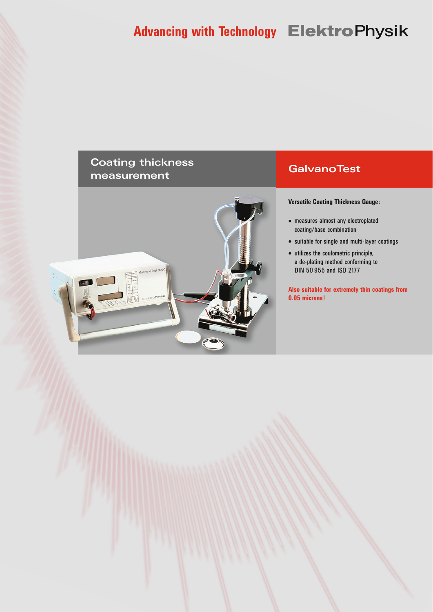# **Advancing with Technology Elektro Physik**

## **Coating thickness measurement**



## **GalvanoTest**

**Versatile Coating Thickness Gauge:**

- measures almost any electroplated coating/base combination
- suitable for single and multi-layer coatings
- utilizes the coulometric principle, a de-plating method conforming to DIN 50 955 and ISO 2177

**Also suitable for extremely thin coatings from 0.05 microns!**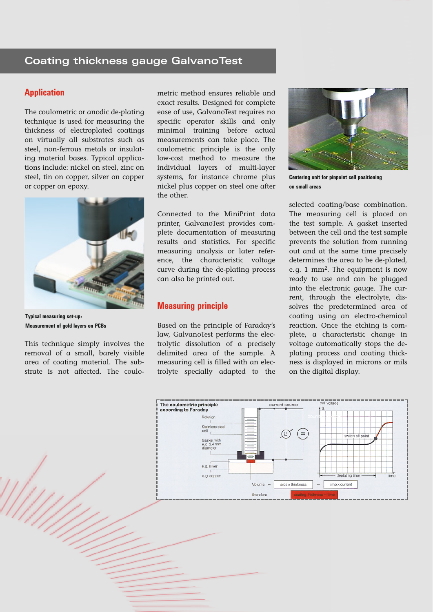#### **Application**

The coulometric or anodic de-plating technique is used for measuring the thickness of electroplated coatings on virtually all substrates such as steel, non-ferrous metals or insulating material bases. Typical applications include: nickel on steel, zinc on steel, tin on copper, silver on copper or copper on epoxy.



**Typical measuring set-up: Measurement of gold layers on PCBs**

This technique simply involves the removal of a small, barely visible area of coating material. The substrate is not affected. The coulometric method ensures reliable and exact results. Designed for complete ease of use, GalvanoTest requires no specific operator skills and only minimal training before actual measurements can take place. The coulometric principle is the only low-cost method to measure the individual layers of multi-layer systems, for instance chrome plus nickel plus copper on steel one after the other.

Connected to the MiniPrint data printer, GalvanoTest provides complete documentation of measuring results and statistics. For specific measuring analysis or later reference, the characteristic voltage curve during the de-plating process can also be printed out.

#### **Measuring principle**

Based on the principle of Faraday's law, GalvanoTest performs the electrolytic dissolution of a precisely delimited area of the sample. A measuring cell is filled with an electrolyte specially adapted to the



**Centering unit for pinpoint cell positioning on small areas**

selected coating/base combination. The measuring cell is placed on the test sample. A gasket inserted between the cell and the test sample prevents the solution from running out and at the same time precisely determines the area to be de-plated, e.g. 1 mm2. The equipment is now ready to use and can be plugged into the electronic gauge. The current, through the electrolyte, dissolves the predetermined area of coating using an electro-chemical reaction. Once the etching is complete, a characteristic change in voltage automatically stops the deplating process and coating thickness is displayed in microns or mils on the digital display.

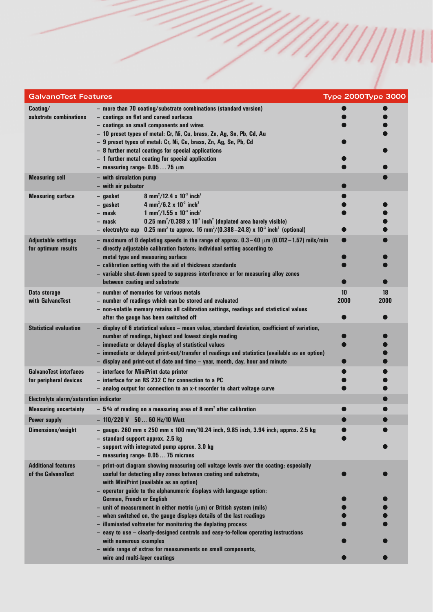| <b>GalvanoTest Features</b>                             | <b>Type 2000Type 3000</b>                                                                                                                                                                                                                                                                                                                                                                                                                                                                                                                                                                                                                                                                                                                              |            |            |
|---------------------------------------------------------|--------------------------------------------------------------------------------------------------------------------------------------------------------------------------------------------------------------------------------------------------------------------------------------------------------------------------------------------------------------------------------------------------------------------------------------------------------------------------------------------------------------------------------------------------------------------------------------------------------------------------------------------------------------------------------------------------------------------------------------------------------|------------|------------|
| Coating/<br>substrate combinations                      | - more than 70 coating/substrate combinations (standard version)<br>- coatings on flat and curved surfaces<br>- coatings on small components and wires<br>- 10 preset types of metal: Cr, Ni, Cu, brass, Zn, Ag, Sn, Pb, Cd, Au<br>- 9 preset types of metal: Cr, Ni, Cu, brass, Zn, Ag, Sn, Pb, Cd<br>- 8 further metal coatings for special applications<br>- 1 further metal coating for special application<br>- measuring range: $0.0575 \mu m$                                                                                                                                                                                                                                                                                                   |            |            |
| <b>Measuring cell</b>                                   | - with circulation pump<br>- with air pulsator                                                                                                                                                                                                                                                                                                                                                                                                                                                                                                                                                                                                                                                                                                         |            |            |
| <b>Measuring surface</b>                                | 8 mm <sup>2</sup> /12.4 x 10 <sup>-3</sup> inch <sup>2</sup><br>- gasket<br>4 mm <sup>2</sup> /6.2 x 10 <sup>-3</sup> inch <sup>2</sup><br>- gasket<br>1 mm <sup>2</sup> /1.55 x 10 <sup>-3</sup> inch <sup>2</sup><br>– mask<br>$0.25$ mm <sup>2</sup> /0.388 x 10 <sup>3</sup> inch <sup>2</sup> (deplated area barely visible)<br>– mask<br>- electrolyte cup $0.25$ mm <sup>2</sup> to approx. 16 mm <sup>2</sup> /(0.388-24.8) x 10 <sup>3</sup> inch <sup>2</sup> (optional)                                                                                                                                                                                                                                                                     |            |            |
| <b>Adjustable settings</b><br>for optimum results       | - maximum of 8 deplating speeds in the range of approx. $0.3-40 \mu m$ (0.012-1.57) mils/min<br>- directly adjustable calibration factors; individual setting according to<br>metal type and measuring surface<br>- calibration setting with the aid of thickness standards<br>- variable shut-down speed to suppress interference or for measuring alloy zones<br>between coating and substrate                                                                                                                                                                                                                                                                                                                                                       |            |            |
| Data storage<br>with GalvanoTest                        | - number of memories for various metals<br>- number of readings which can be stored and evaluated<br>- non-volatile memory retains all calibration settings, readings and statistical values<br>after the gauge has been switched off                                                                                                                                                                                                                                                                                                                                                                                                                                                                                                                  | 10<br>2000 | 18<br>2000 |
| <b>Statistical evaluation</b>                           | - display of 6 statistical values - mean value, standard deviation, coefficient of variation,<br>number of readings, highest and lowest single reading<br>- immediate or delayed display of statistical values<br>- immediate or delayed print-out/transfer of readings and statistics (available as an option)<br>- display and print-out of date and time - year, month, day, hour and minute                                                                                                                                                                                                                                                                                                                                                        |            |            |
| <b>GalvanoTest interfaces</b><br>for peripheral devices | - interface for MiniPrint data printer<br>- interface for an RS 232 C for connection to a PC<br>- analog output for connection to an x-t recorder to chart voltage curve                                                                                                                                                                                                                                                                                                                                                                                                                                                                                                                                                                               |            |            |
| <b>Electrolyte alarm/saturation indicator</b>           |                                                                                                                                                                                                                                                                                                                                                                                                                                                                                                                                                                                                                                                                                                                                                        |            |            |
| <b>Measuring uncertainty</b><br><b>Power supply</b>     | $-5%$ of reading on a measuring area of 8 mm <sup>2</sup> after calibration<br>$-110/220$ V $5060$ Hz/10 Watt                                                                                                                                                                                                                                                                                                                                                                                                                                                                                                                                                                                                                                          |            |            |
| <b>Dimensions/weight</b>                                | $-$ gauge: 260 mm x 250 mm x 100 mm/10.24 inch, 9.85 inch, 3.94 inch; approx. 2.5 kg<br>- standard support approx. 2.5 kg<br>- support with integrated pump approx. 3.0 kg<br>- measuring range: 0.0575 microns                                                                                                                                                                                                                                                                                                                                                                                                                                                                                                                                        |            |            |
| <b>Additional features</b><br>of the GalvanoTest        | - print-out diagram showing measuring cell voltage levels over the coating; especially<br>useful for detecting alloy zones between coating and substrate;<br>with MiniPrint (available as an option)<br>- operator guide to the alphanumeric displays with language option:<br><b>German, French or English</b><br>- unit of measurement in either metric ( $\mu$ m) or British system (mils)<br>- when switched on, the gauge displays details of the last readings<br>- illuminated voltmeter for monitoring the deplating process<br>- easy to use - clearly-designed controls and easy-to-follow operating instructions<br>with numerous examples<br>- wide range of extras for measurements on small components,<br>wire and multi-layer coatings |            |            |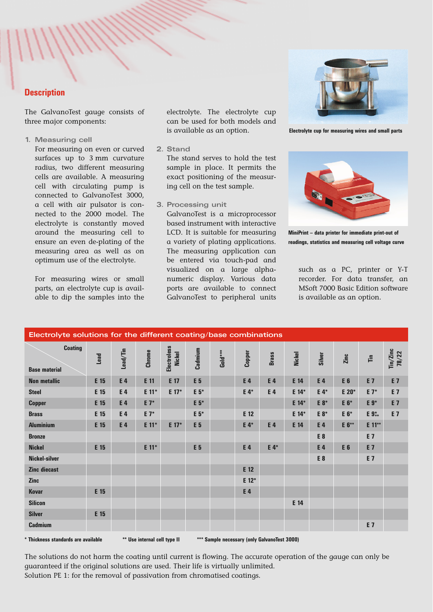#### **Description**

The GalvanoTest gauge consists of three major components:

**1. Measuring cell**

For measuring on even or curved surfaces up to 3 mm curvature radius, two different measuring cells are available. A measuring cell with circulating pump is connected to GalvanoTest 3000, a cell with air pulsator is connected to the 2000 model. The electrolyte is constantly moved around the measuring cell to ensure an even de-plating of the measuring area as well as on optimum use of the electrolyte.

For measuring wires or small parts, an electrolyte cup is available to dip the samples into the

electrolyte. The electrolyte cup can be used for both models and is available as an option.

**2. Stand**

The stand serves to hold the test sample in place. It permits the exact positioning of the measuring cell on the test sample.

**3. Processing unit**

GalvanoTest is a microprocessor based instrument with interactive LCD. It is suitable for measuring a variety of plating applications. The measuring application can be entered via touch-pad and visualized on a large alphanumeric display. Various data ports are available to connect GalvanoTest to peripheral units



**Electrolyte cup for measuring wires and small parts**



**MiniPrint – data printer for immediate print-out of readings, statistics and measuring cell voltage curve**

such as a PC, printer or Y-T recorder. For data transfer, an MSoft 7000 Basic Edition software is available as an option.

| Electrolyte solutions for the different coating/base combinations |      |          |         |                                     |                |                             |         |              |               |                |                |                      |                   |
|-------------------------------------------------------------------|------|----------|---------|-------------------------------------|----------------|-----------------------------|---------|--------------|---------------|----------------|----------------|----------------------|-------------------|
| <b>Coating</b><br><b>Base material</b>                            | Lead | Lead/Tin | Chrome  | <b>Electroless</b><br><b>Nickel</b> | Cadmium        | $\text{Gold} \, \text{***}$ | Copper  | <b>Brass</b> | <b>Nickel</b> | Silver         | Zinc           | $\tilde{\mathbb{H}}$ | Tin/Zinc<br>78/22 |
| <b>Non metallic</b>                                               | E 15 | E 4      | E 11    | E 17                                | E 5            |                             | E 4     | E 4          | E 14          | E4             | E <sub>6</sub> | E 7                  | E 7               |
| <b>Steel</b>                                                      | E 15 | E 4      | E 11*   | E 17*                               | E 5*           |                             | E 4*    | E 4          | E 14*         | $E_4*$         | E 20*          | $E 7^*$              | E 7               |
| <b>Copper</b>                                                     | E 15 | E 4      | $E 7^*$ |                                     | E 5*           |                             |         |              | E 14*         | E 8*           | E 6*           | E 9*                 | E 7               |
| <b>Brass</b>                                                      | E 15 | E 4      | E 7*    |                                     | E 5*           |                             | E 12    |              | E 14*         | E 8*           | E 6*           | E 9 <sup>*</sup>     | <b>E7</b>         |
| <b>Aluminium</b>                                                  | E 15 | E 4      | E 11*   | E 17*                               | E <sub>5</sub> |                             | E 4*    | E 4          | E 14          | E4             | E 6**          | E 11**               |                   |
| <b>Bronze</b>                                                     |      |          |         |                                     |                |                             |         |              |               | E <sub>8</sub> |                | E 7                  |                   |
| <b>Nickel</b>                                                     | E 15 |          | E 11*   |                                     | E <sub>5</sub> |                             | E 4     | E 4*         |               | E 4            | E 6            | <b>E 7</b>           |                   |
| Nickel-silver                                                     |      |          |         |                                     |                |                             |         |              |               | E 8            |                | E 7                  |                   |
| <b>Zinc diecast</b>                                               |      |          |         |                                     |                |                             | E 12    |              |               |                |                |                      |                   |
| <b>Zinc</b>                                                       |      |          |         |                                     |                |                             | $E 12*$ |              |               |                |                |                      |                   |
| <b>Kovar</b>                                                      | E 15 |          |         |                                     |                |                             | E 4     |              |               |                |                |                      |                   |
| <b>Silicon</b>                                                    |      |          |         |                                     |                |                             |         |              | E 14          |                |                |                      |                   |
| <b>Silver</b>                                                     | E 15 |          |         |                                     |                |                             |         |              |               |                |                |                      |                   |
| <b>Cadmium</b>                                                    |      |          |         |                                     |                |                             |         |              |               |                |                | E 7                  |                   |
|                                                                   |      |          |         |                                     |                |                             |         |              |               |                |                |                      |                   |

**\* Thickness standards are available \*\* Use internal cell type II \*\*\* Sample necessary (only GalvanoTest 3000)**

The solutions do not harm the coating until current is flowing. The accurate operation of the gauge can only be guaranteed if the original solutions are used. Their life is virtually unlimited. Solution PE 1: for the removal of passivation from chromatised coatings.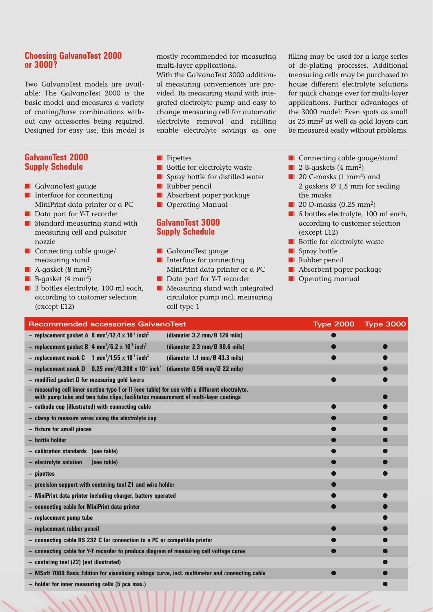#### **Choosing GalvanoTest 2000 or 3000?**

Two GalvanoTest models are available: The GalvanoTest 2000 is the basic model and measures a variety of coating/base combinations without any accessories being required. Designed for easy use, this model is

#### **GalvanoTest 2000 Supply Schedule**

- GalvanoTest gauge
- Interface for connecting MiniPrint data printer or a PC
- Data port for Y-T recorder
- Standard measuring stand with measuring cell and pulsator nozzle
- Connecting cable gauge/ measuring stand
- A-qasket (8 mm<sup>2</sup>)
- B-gasket (4 mm<sup>2</sup>)
- 3 bottles electrolyte, 100 ml each, according to customer selection (except E12)

mostly recommended for measuring multi-layer applications.

With the GalvanoTest 3000 additional measuring conveniences are provided. Its measuring stand with integrated electrolyte pump and easy to change measuring cell for automatic electrolyte removal and refilling enable electrolyte savings as one

filling may be used for a large series of de-plating processes. Additional measuring cells may be purchased to house different electrolyte solutions for quick change over for multi-layer applications. Further advantages of the 3000 model: Even spots as small as 25 mm2 as well as gold layers can be measured easily without problems.

- ■❙ Pipettes
- Bottle for electrolyte waste
- Spray bottle for distilled water
- Rubber pencil
- Absorbent paper package
- Operating Manual

#### **GalvanoTest 3000 Supply Schedule**

- GalvanoTest gauge
- Interface for connecting MiniPrint data printer or a PC
- Data port for Y-T recorder
- Measuring stand with integrated circulator pump incl. measuring cell type 1
- Connecting cable gauge/stand
- 2 B-gaskets (4 mm<sup>2</sup>)
- 20 C-masks (1 mm<sup>2</sup>) and 2 gaskets  $\varnothing$  1,5 mm for sealing the masks
- $\blacksquare$  20 D-masks (0,25 mm<sup>2</sup>)
- 5 bottles electrolyte, 100 ml each, according to customer selection (except E12)
- Bottle for electrolyte waste
- Spray bottle
- Rubber pencil
- Absorbent paper package
- Operating manual

| Recommended accessories GalvanoTest                                                                                                                                                 | <b>Type 2000</b> | <b>Type 3000</b> |  |  |  |  |
|-------------------------------------------------------------------------------------------------------------------------------------------------------------------------------------|------------------|------------------|--|--|--|--|
| - replacement gasket A 8 mm <sup>2</sup> /12.4 x 10 <sup>3</sup> inch <sup>2</sup><br>(diameter $3.2 \text{ mm}/9$ 126 mils)                                                        |                  |                  |  |  |  |  |
| - replacement gasket B 4 mm <sup>2</sup> /6.2 x 10 <sup>-3</sup> inch <sup>2</sup><br>(diameter $2.3 \text{ mm}/\cancel{0}$ 90.6 mils)                                              |                  |                  |  |  |  |  |
| - replacement mask C $1 \text{ mm}^2/1.55 \times 10^3 \text{ inch}^2$<br>(diameter 1.1 mm/ $\cancel{0}$ 43.3 mils)                                                                  |                  |                  |  |  |  |  |
| - replacement mask D $0.25$ mm <sup>2</sup> /0.388 x 10 <sup>-3</sup> inch <sup>2</sup><br>(diameter $0.56$ mm/ $\emptyset$ 22 mils)                                                |                  |                  |  |  |  |  |
| - modified gasket D for measuring gold layers                                                                                                                                       |                  |                  |  |  |  |  |
| - measuring cell inner section type I or II (see table) for use with a different electrolyte,<br>with pump tube and two tube clips; facilitates measurement of multi-layer coatings |                  |                  |  |  |  |  |
| - cathode cup (illustrated) with connecting cable                                                                                                                                   |                  |                  |  |  |  |  |
| - clamp to measure wires using the electrolyte cup                                                                                                                                  |                  |                  |  |  |  |  |
| - fixture for small pieces                                                                                                                                                          |                  |                  |  |  |  |  |
| - bottle holder                                                                                                                                                                     |                  |                  |  |  |  |  |
| - calibration standards (see table)                                                                                                                                                 |                  |                  |  |  |  |  |
| - electrolyte solution<br>(see table)                                                                                                                                               |                  |                  |  |  |  |  |
| - pipettes                                                                                                                                                                          |                  |                  |  |  |  |  |
| - precision support with centering tool Z1 and wire holder                                                                                                                          |                  |                  |  |  |  |  |
| - MiniPrint data printer including charger, battery operated                                                                                                                        |                  |                  |  |  |  |  |
| - connecting cable for MiniPrint data printer                                                                                                                                       |                  |                  |  |  |  |  |
| - replacement pump tube                                                                                                                                                             |                  |                  |  |  |  |  |
| - replacement rubber pencil                                                                                                                                                         |                  |                  |  |  |  |  |
| - connecting cable RS 232 C for connection to a PC or compatible printer                                                                                                            |                  |                  |  |  |  |  |
| - connecting cable for Y-T recorder to produce diagram of measuring cell voltage curve                                                                                              |                  |                  |  |  |  |  |
| - centering tool (Z2) (not illustrated)                                                                                                                                             |                  |                  |  |  |  |  |
| - MSoft 7000 Basic Edition for visualising voltage curve, incl. multimeter and connecting cable                                                                                     |                  |                  |  |  |  |  |
| - holder for inner measuring cells (5 pcs max.)                                                                                                                                     |                  |                  |  |  |  |  |